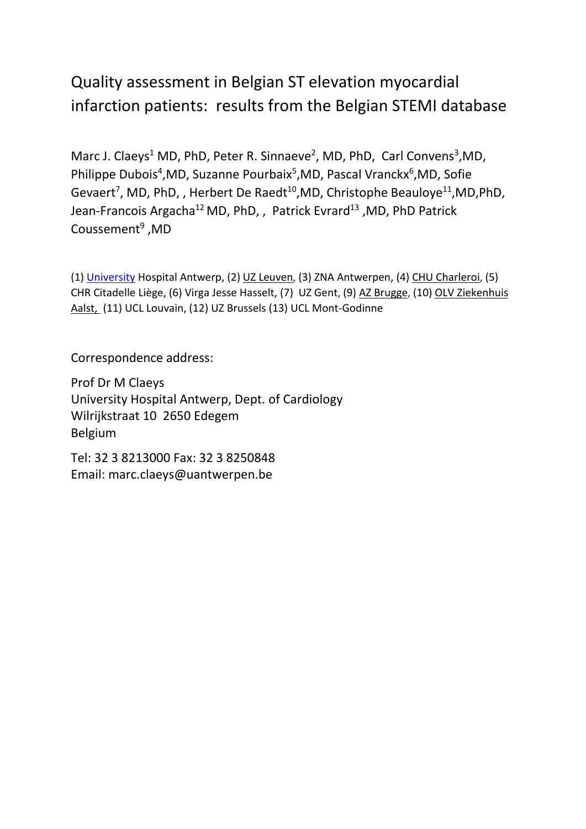# Quality assessment in Belgian ST elevation myocardial infarction patients: results from the Belgian STEMI database

Marc J. Claeys<sup>1</sup> MD, PhD, Peter R. Sinnaeve<sup>2</sup>, MD, PhD, Carl Convens<sup>3</sup>,MD, Philippe Dubois<sup>4</sup>, MD, Suzanne Pourbaix<sup>5</sup>, MD, Pascal Vranckx<sup>6</sup>, MD, Sofie Gevaert<sup>7</sup>, MD, PhD,, Herbert De Raedt<sup>10</sup>,MD, Christophe Beauloye<sup>11</sup>,MD,PhD, Jean-Francois Argacha<sup>12</sup> MD, PhD, , Patrick Evrard<sup>13</sup>, MD, PhD Patrick Coussement<sup>9</sup>, MD

(1) [University](mailto:University) Hospital Antwerp, (2) [UZ Leuven](mailto:peter.sinnaeve@uzleuven.be), (3) ZNA Antwerpen, (4[\) CHU Charleroi](mailto:philippe.dubois@chu-charleroi.be), (5) CHR Citadelle Liège, (6) Virga Jesse Hasselt, (7) UZ Gent, (9[\) AZ Brugge](mailto:patrick.coussement@azbrugge.be), (10) [OLV Ziekenhuis](mailto:herbert.de.raedt@olvz-aalst.be)  [Aalst,](mailto:herbert.de.raedt@olvz-aalst.be) (11) UCL Louvain, (12) UZ Brussels (13) UCL Mont-Godinne

Correspondence address:

Prof Dr M Claeys University Hospital Antwerp, Dept. of Cardiology Wilrijkstraat 10 2650 Edegem Belgium

Tel: 32 3 8213000 Fax: 32 3 8250848 Email: marc.claeys@uantwerpen.be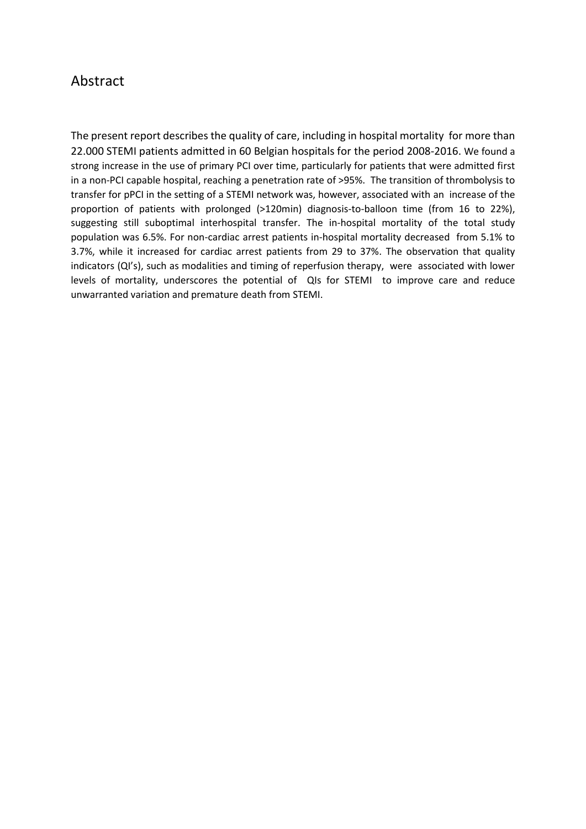### Abstract

The present report describes the quality of care, including in hospital mortality for more than 22.000 STEMI patients admitted in 60 Belgian hospitals for the period 2008-2016. We found a strong increase in the use of primary PCI over time, particularly for patients that were admitted first in a non-PCI capable hospital, reaching a penetration rate of >95%. The transition of thrombolysis to transfer for pPCI in the setting of a STEMI network was, however, associated with an increase of the proportion of patients with prolonged (>120min) diagnosis-to-balloon time (from 16 to 22%), suggesting still suboptimal interhospital transfer. The in-hospital mortality of the total study population was 6.5%. For non-cardiac arrest patients in-hospital mortality decreased from 5.1% to 3.7%, while it increased for cardiac arrest patients from 29 to 37%. The observation that quality indicators (QI's), such as modalities and timing of reperfusion therapy, were associated with lower levels of mortality, underscores the potential of QIs for STEMI to improve care and reduce unwarranted variation and premature death from STEMI.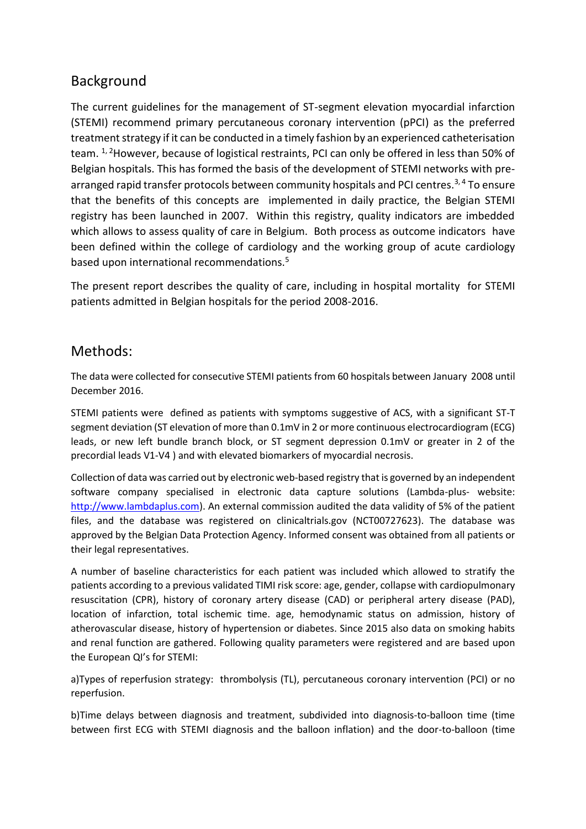# Background

The current guidelines for the management of ST-segment elevation myocardial infarction (STEMI) recommend primary percutaneous coronary intervention (pPCI) as the preferred treatment strategy if it can be conducted in a timely fashion by an experienced catheterisation team. 1, 2However, because of logistical restraints, PCI can only be offered in less than 50% of Belgian hospitals. This has formed the basis of the development of STEMI networks with prearranged rapid transfer protocols between community hospitals and PCI centres.<sup>3,4</sup> To ensure that the benefits of this concepts are implemented in daily practice, the Belgian STEMI registry has been launched in 2007. Within this registry, quality indicators are imbedded which allows to assess quality of care in Belgium. Both process as outcome indicators have been defined within the college of cardiology and the working group of acute cardiology based upon international recommendations.<sup>5</sup>

The present report describes the quality of care, including in hospital mortality for STEMI patients admitted in Belgian hospitals for the period 2008-2016.

### Methods:

The data were collected for consecutive STEMI patients from 60 hospitals between January 2008 until December 2016.

STEMI patients were defined as patients with symptoms suggestive of ACS, with a significant ST-T segment deviation (ST elevation of more than 0.1mV in 2 or more continuous electrocardiogram (ECG) leads, or new left bundle branch block, or ST segment depression 0.1mV or greater in 2 of the precordial leads V1-V4 ) and with elevated biomarkers of myocardial necrosis.

Collection of data was carried out by electronic web-based registry that is governed by an independent software company specialised in electronic data capture solutions (Lambda-plus- website: [http://www.lambdaplus.com\)](http://www.lambdaplus.com/). An external commission audited the data validity of 5% of the patient files, and the database was registered on clinicaltrials.gov (NCT00727623). The database was approved by the Belgian Data Protection Agency. Informed consent was obtained from all patients or their legal representatives.

A number of baseline characteristics for each patient was included which allowed to stratify the patients according to a previous validated TIMI risk score: age, gender, collapse with cardiopulmonary resuscitation (CPR), history of coronary artery disease (CAD) or peripheral artery disease (PAD), location of infarction, total ischemic time. age, hemodynamic status on admission, history of atherovascular disease, history of hypertension or diabetes. Since 2015 also data on smoking habits and renal function are gathered. Following quality parameters were registered and are based upon the European QI's for STEMI:

a)Types of reperfusion strategy: thrombolysis (TL), percutaneous coronary intervention (PCI) or no reperfusion.

b)Time delays between diagnosis and treatment, subdivided into diagnosis-to-balloon time (time between first ECG with STEMI diagnosis and the balloon inflation) and the door-to-balloon (time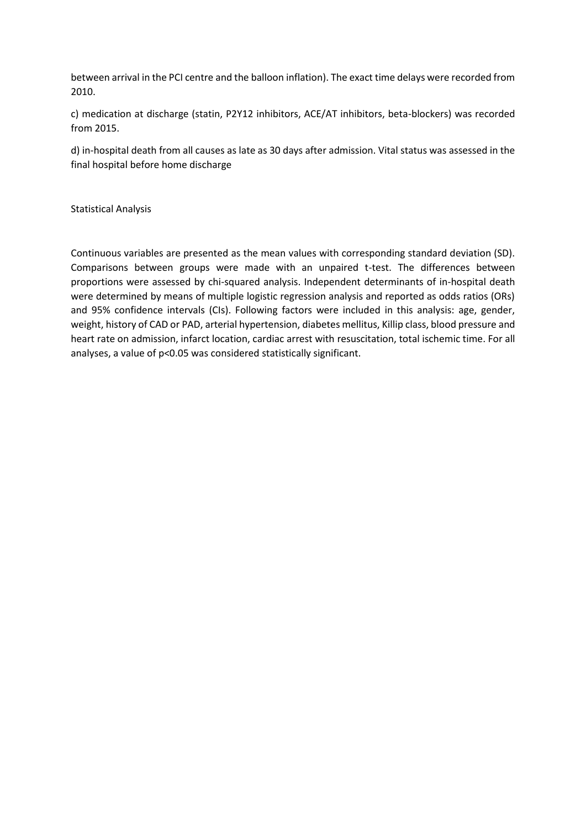between arrival in the PCI centre and the balloon inflation). The exact time delays were recorded from 2010.

c) medication at discharge (statin, P2Y12 inhibitors, ACE/AT inhibitors, beta-blockers) was recorded from 2015.

d) in-hospital death from all causes as late as 30 days after admission. Vital status was assessed in the final hospital before home discharge

#### Statistical Analysis

Continuous variables are presented as the mean values with corresponding standard deviation (SD). Comparisons between groups were made with an unpaired t-test. The differences between proportions were assessed by chi-squared analysis. Independent determinants of in-hospital death were determined by means of multiple logistic regression analysis and reported as odds ratios (ORs) and 95% confidence intervals (CIs). Following factors were included in this analysis: age, gender, weight, history of CAD or PAD, arterial hypertension, diabetes mellitus, Killip class, blood pressure and heart rate on admission, infarct location, cardiac arrest with resuscitation, total ischemic time. For all analyses, a value of p<0.05 was considered statistically significant.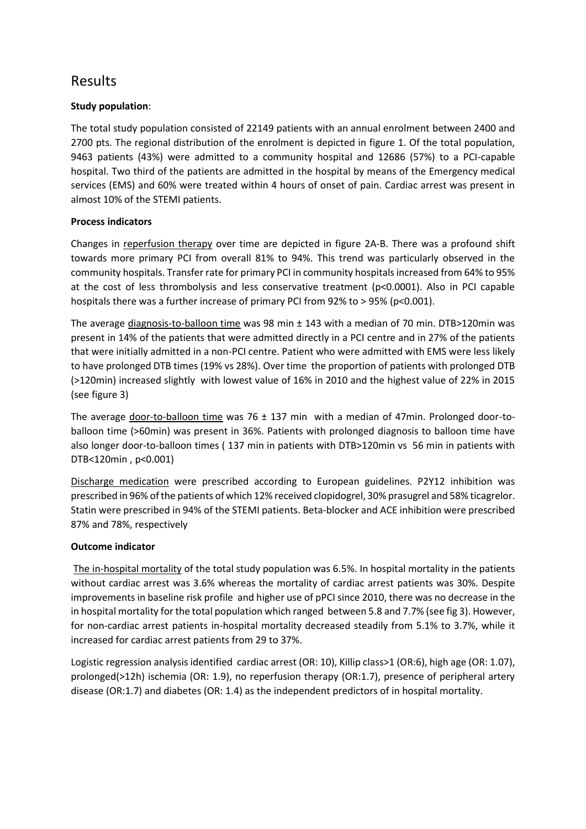# Results

#### **Study population**:

The total study population consisted of 22149 patients with an annual enrolment between 2400 and 2700 pts. The regional distribution of the enrolment is depicted in figure 1. Of the total population, 9463 patients (43%) were admitted to a community hospital and 12686 (57%) to a PCI-capable hospital. Two third of the patients are admitted in the hospital by means of the Emergency medical services (EMS) and 60% were treated within 4 hours of onset of pain. Cardiac arrest was present in almost 10% of the STEMI patients.

#### **Process indicators**

Changes in reperfusion therapy over time are depicted in figure 2A-B. There was a profound shift towards more primary PCI from overall 81% to 94%. This trend was particularly observed in the community hospitals. Transfer rate for primary PCI in community hospitals increased from 64% to 95% at the cost of less thrombolysis and less conservative treatment (p<0.0001). Also in PCI capable hospitals there was a further increase of primary PCI from 92% to > 95% (p<0.001).

The average  $diagnostic$ -balloon time was 98 min  $\pm$  143 with a median of 70 min. DTB>120min was present in 14% of the patients that were admitted directly in a PCI centre and in 27% of the patients that were initially admitted in a non-PCI centre. Patient who were admitted with EMS were less likely to have prolonged DTB times (19% vs 28%). Over time the proportion of patients with prolonged DTB (>120min) increased slightly with lowest value of 16% in 2010 and the highest value of 22% in 2015 (see figure 3)

The average door-to-balloon time was 76  $\pm$  137 min with a median of 47min. Prolonged door-toballoon time (>60min) was present in 36%. Patients with prolonged diagnosis to balloon time have also longer door-to-balloon times ( 137 min in patients with DTB>120min vs 56 min in patients with DTB<120min , p<0.001)

Discharge medication were prescribed according to European guidelines. P2Y12 inhibition was prescribed in 96% of the patients of which 12% received clopidogrel, 30% prasugrel and 58% ticagrelor. Statin were prescribed in 94% of the STEMI patients. Beta-blocker and ACE inhibition were prescribed 87% and 78%, respectively

#### **Outcome indicator**

The in-hospital mortality of the total study population was 6.5%. In hospital mortality in the patients without cardiac arrest was 3.6% whereas the mortality of cardiac arrest patients was 30%. Despite improvements in baseline risk profile and higher use of pPCI since 2010, there was no decrease in the in hospital mortality for the total population which ranged between 5.8 and 7.7% (see fig 3). However, for non-cardiac arrest patients in-hospital mortality decreased steadily from 5.1% to 3.7%, while it increased for cardiac arrest patients from 29 to 37%.

Logistic regression analysis identified cardiac arrest (OR: 10), Killip class>1 (OR:6), high age (OR: 1.07), prolonged(>12h) ischemia (OR: 1.9), no reperfusion therapy (OR:1.7), presence of peripheral artery disease (OR:1.7) and diabetes (OR: 1.4) as the independent predictors of in hospital mortality.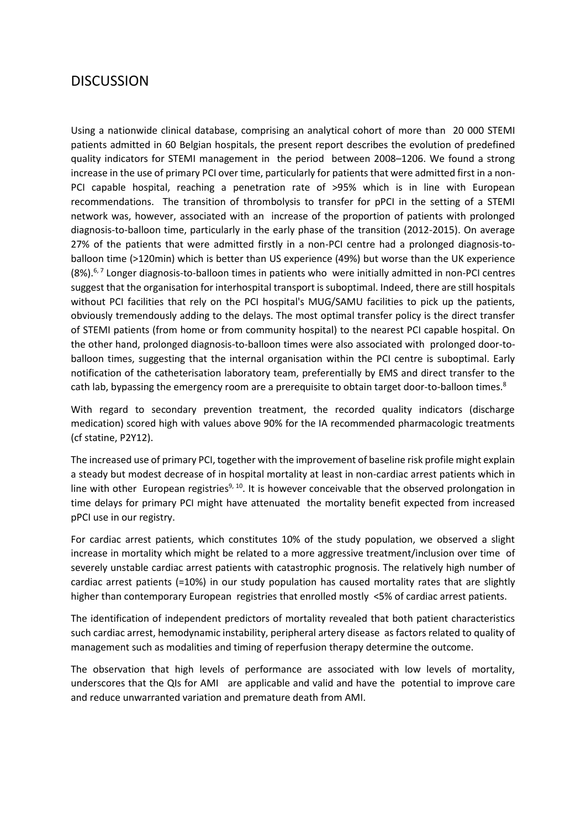### **DISCUSSION**

Using a nationwide clinical database, comprising an analytical cohort of more than 20 000 STEMI patients admitted in 60 Belgian hospitals, the present report describes the evolution of predefined quality indicators for STEMI management in the period between 2008–1206. We found a strong increase in the use of primary PCI over time, particularly for patients that were admitted first in a non-PCI capable hospital, reaching a penetration rate of >95% which is in line with European recommendations. The transition of thrombolysis to transfer for pPCI in the setting of a STEMI network was, however, associated with an increase of the proportion of patients with prolonged diagnosis-to-balloon time, particularly in the early phase of the transition (2012-2015). On average 27% of the patients that were admitted firstly in a non-PCI centre had a prolonged diagnosis-toballoon time (>120min) which is better than US experience (49%) but worse than the UK experience (8%).6, 7 Longer diagnosis-to-balloon times in patients who were initially admitted in non-PCI centres suggest that the organisation for interhospital transport is suboptimal. Indeed, there are still hospitals without PCI facilities that rely on the PCI hospital's MUG/SAMU facilities to pick up the patients, obviously tremendously adding to the delays. The most optimal transfer policy is the direct transfer of STEMI patients (from home or from community hospital) to the nearest PCI capable hospital. On the other hand, prolonged diagnosis-to-balloon times were also associated with prolonged door-toballoon times, suggesting that the internal organisation within the PCI centre is suboptimal. Early notification of the catheterisation laboratory team, preferentially by EMS and direct transfer to the cath lab, bypassing the emergency room are a prerequisite to obtain target door-to-balloon times.<sup>8</sup>

With regard to secondary prevention treatment, the recorded quality indicators (discharge medication) scored high with values above 90% for the IA recommended pharmacologic treatments (cf statine, P2Y12).

The increased use of primary PCI, together with the improvement of baseline risk profile might explain a steady but modest decrease of in hospital mortality at least in non-cardiac arrest patients which in line with other European registries<sup>9, 10</sup>. It is however conceivable that the observed prolongation in time delays for primary PCI might have attenuated the mortality benefit expected from increased pPCI use in our registry.

For cardiac arrest patients, which constitutes 10% of the study population, we observed a slight increase in mortality which might be related to a more aggressive treatment/inclusion over time of severely unstable cardiac arrest patients with catastrophic prognosis. The relatively high number of cardiac arrest patients (=10%) in our study population has caused mortality rates that are slightly higher than contemporary European registries that enrolled mostly <5% of cardiac arrest patients.

The identification of independent predictors of mortality revealed that both patient characteristics such cardiac arrest, hemodynamic instability, peripheral artery disease as factors related to quality of management such as modalities and timing of reperfusion therapy determine the outcome.

The observation that high levels of performance are associated with low levels of mortality, underscores that the QIs for AMI are applicable and valid and have the potential to improve care and reduce unwarranted variation and premature death from AMI.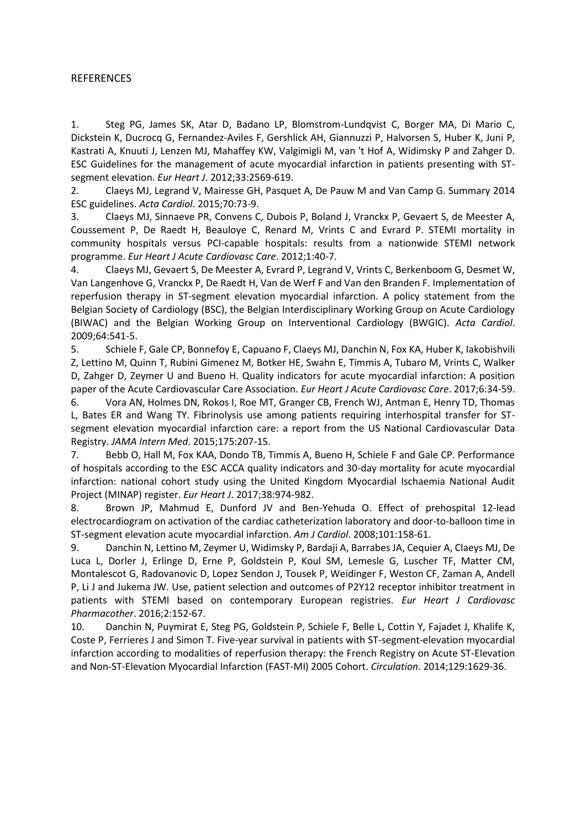#### REFERENCES

1. Steg PG, James SK, Atar D, Badano LP, Blomstrom-Lundqvist C, Borger MA, Di Mario C, Dickstein K, Ducrocq G, Fernandez-Aviles F, Gershlick AH, Giannuzzi P, Halvorsen S, Huber K, Juni P, Kastrati A, Knuuti J, Lenzen MJ, Mahaffey KW, Valgimigli M, van 't Hof A, Widimsky P and Zahger D. ESC Guidelines for the management of acute myocardial infarction in patients presenting with STsegment elevation. *Eur Heart J*. 2012;33:2569-619.

2. Claeys MJ, Legrand V, Mairesse GH, Pasquet A, De Pauw M and Van Camp G. Summary 2014 ESC guidelines. *Acta Cardiol*. 2015;70:73-9.

3. Claeys MJ, Sinnaeve PR, Convens C, Dubois P, Boland J, Vranckx P, Gevaert S, de Meester A, Coussement P, De Raedt H, Beauloye C, Renard M, Vrints C and Evrard P. STEMI mortality in community hospitals versus PCI-capable hospitals: results from a nationwide STEMI network programme. *Eur Heart J Acute Cardiovasc Care*. 2012;1:40-7.

4. Claeys MJ, Gevaert S, De Meester A, Evrard P, Legrand V, Vrints C, Berkenboom G, Desmet W, Van Langenhove G, Vranckx P, De Raedt H, Van de Werf F and Van den Branden F. Implementation of reperfusion therapy in ST-segment elevation myocardial infarction. A policy statement from the Belgian Society of Cardiology (BSC), the Belgian Interdisciplinary Working Group on Acute Cardiology (BIWAC) and the Belgian Working Group on Interventional Cardiology (BWGIC). *Acta Cardiol*. 2009;64:541-5.

5. Schiele F, Gale CP, Bonnefoy E, Capuano F, Claeys MJ, Danchin N, Fox KA, Huber K, Iakobishvili Z, Lettino M, Quinn T, Rubini Gimenez M, Botker HE, Swahn E, Timmis A, Tubaro M, Vrints C, Walker D, Zahger D, Zeymer U and Bueno H. Quality indicators for acute myocardial infarction: A position paper of the Acute Cardiovascular Care Association. *Eur Heart J Acute Cardiovasc Care*. 2017;6:34-59.

6. Vora AN, Holmes DN, Rokos I, Roe MT, Granger CB, French WJ, Antman E, Henry TD, Thomas L, Bates ER and Wang TY. Fibrinolysis use among patients requiring interhospital transfer for STsegment elevation myocardial infarction care: a report from the US National Cardiovascular Data Registry. *JAMA Intern Med*. 2015;175:207-15.

7. Bebb O, Hall M, Fox KAA, Dondo TB, Timmis A, Bueno H, Schiele F and Gale CP. Performance of hospitals according to the ESC ACCA quality indicators and 30-day mortality for acute myocardial infarction: national cohort study using the United Kingdom Myocardial Ischaemia National Audit Project (MINAP) register. *Eur Heart J*. 2017;38:974-982.

8. Brown JP, Mahmud E, Dunford JV and Ben-Yehuda O. Effect of prehospital 12-lead electrocardiogram on activation of the cardiac catheterization laboratory and door-to-balloon time in ST-segment elevation acute myocardial infarction. *Am J Cardiol*. 2008;101:158-61.

9. Danchin N, Lettino M, Zeymer U, Widimsky P, Bardaji A, Barrabes JA, Cequier A, Claeys MJ, De Luca L, Dorler J, Erlinge D, Erne P, Goldstein P, Koul SM, Lemesle G, Luscher TF, Matter CM, Montalescot G, Radovanovic D, Lopez Sendon J, Tousek P, Weidinger F, Weston CF, Zaman A, Andell P, Li J and Jukema JW. Use, patient selection and outcomes of P2Y12 receptor inhibitor treatment in patients with STEMI based on contemporary European registries. *Eur Heart J Cardiovasc Pharmacother*. 2016;2:152-67.

10. Danchin N, Puymirat E, Steg PG, Goldstein P, Schiele F, Belle L, Cottin Y, Fajadet J, Khalife K, Coste P, Ferrieres J and Simon T. Five-year survival in patients with ST-segment-elevation myocardial infarction according to modalities of reperfusion therapy: the French Registry on Acute ST-Elevation and Non-ST-Elevation Myocardial Infarction (FAST-MI) 2005 Cohort. *Circulation*. 2014;129:1629-36.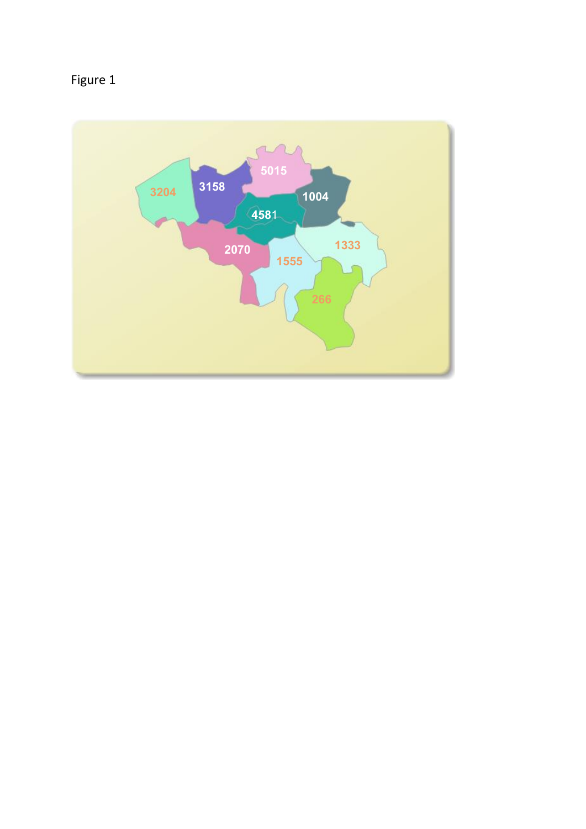

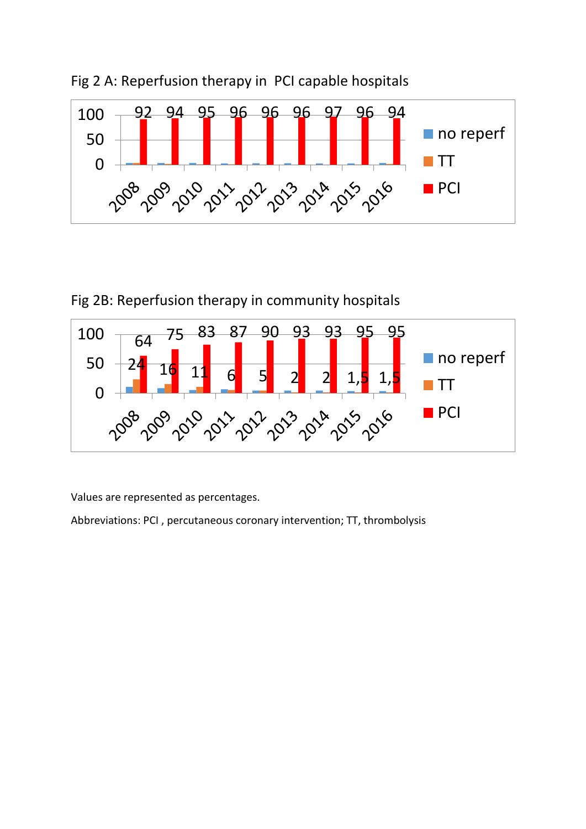



Fig 2B: Reperfusion therapy in community hospitals



Values are represented as percentages.

Abbreviations: PCI , percutaneous coronary intervention; TT, thrombolysis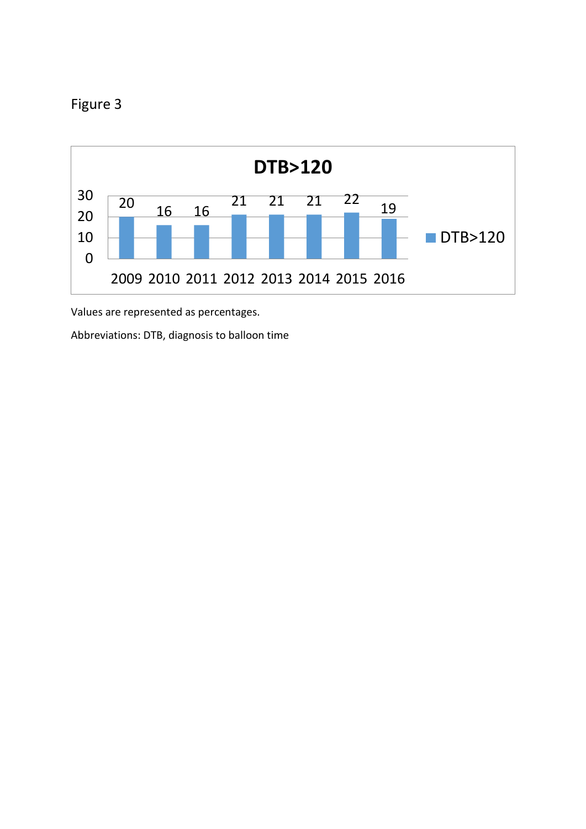



Values are represented as percentages.

Abbreviations: DTB, diagnosis to balloon time